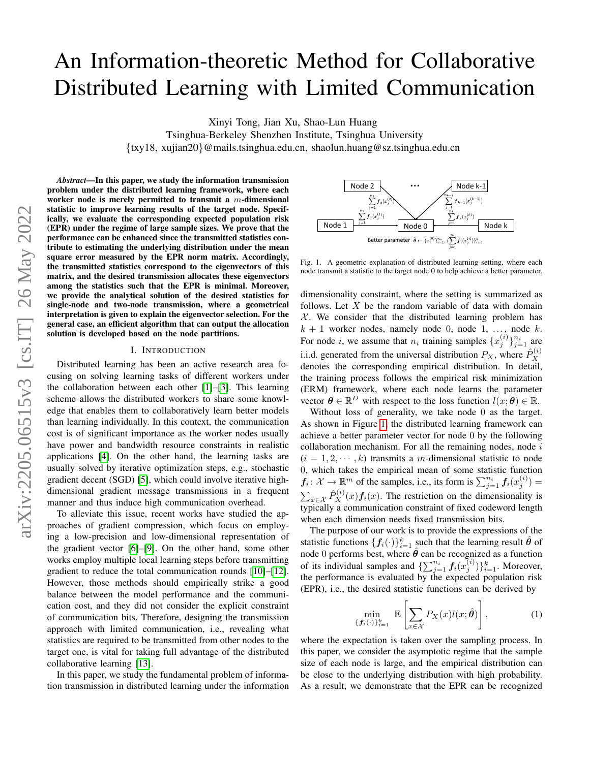# An Information-theoretic Method for Collaborative Distributed Learning with Limited Communication

Xinyi Tong, Jian Xu, Shao-Lun Huang

Tsinghua-Berkeley Shenzhen Institute, Tsinghua University

{txy18, xujian20}@mails.tsinghua.edu.cn, shaolun.huang@sz.tsinghua.edu.cn

*Abstract*—In this paper, we study the information transmission problem under the distributed learning framework, where each worker node is merely permitted to transmit a m-dimensional statistic to improve learning results of the target node. Specifically, we evaluate the corresponding expected population risk (EPR) under the regime of large sample sizes. We prove that the performance can be enhanced since the transmitted statistics contribute to estimating the underlying distribution under the mean square error measured by the EPR norm matrix. Accordingly, the transmitted statistics correspond to the eigenvectors of this matrix, and the desired transmission allocates these eigenvectors among the statistics such that the EPR is minimal. Moreover, we provide the analytical solution of the desired statistics for single-node and two-node transmission, where a geometrical interpretation is given to explain the eigenvector selection. For the general case, an efficient algorithm that can output the allocation solution is developed based on the node partitions.

#### I. INTRODUCTION

Distributed learning has been an active research area focusing on solving learning tasks of different workers under the collaboration between each other [\[1\]](#page-5-0)–[\[3\]](#page-5-1). This learning scheme allows the distributed workers to share some knowledge that enables them to collaboratively learn better models than learning individually. In this context, the communication cost is of significant importance as the worker nodes usually have power and bandwidth resource constraints in realistic applications [\[4\]](#page-6-0). On the other hand, the learning tasks are usually solved by iterative optimization steps, e.g., stochastic gradient decent (SGD) [\[5\]](#page-6-1), which could involve iterative highdimensional gradient message transmissions in a frequent manner and thus induce high communication overhead.

To alleviate this issue, recent works have studied the approaches of gradient compression, which focus on employing a low-precision and low-dimensional representation of the gradient vector [\[6\]](#page-6-2)–[\[9\]](#page-6-3). On the other hand, some other works employ multiple local learning steps before transmitting gradient to reduce the total communication rounds [\[10\]](#page-6-4)–[\[12\]](#page-6-5). However, those methods should empirically strike a good balance between the model performance and the communication cost, and they did not consider the explicit constraint of communication bits. Therefore, designing the transmission approach with limited communication, i.e., revealing what statistics are required to be transmitted from other nodes to the target one, is vital for taking full advantage of the distributed collaborative learning [\[13\]](#page-6-6).

In this paper, we study the fundamental problem of information transmission in distributed learning under the information



<span id="page-0-0"></span>Fig. 1. A geometric explanation of distributed learning setting, where each node transmit a statistic to the target node 0 to help achieve a better parameter.

dimensionality constraint, where the setting is summarized as follows. Let  $X$  be the random variable of data with domain  $X$ . We consider that the distributed learning problem has  $k + 1$  worker nodes, namely node 0, node 1, ..., node k. For node *i*, we assume that  $n_i$  training samples  $\{x_j^{(i)}\}_{j=1}^{n_i}$  are i.i.d. generated from the universal distribution  $P_X$ , where  $\hat{P}_X^{(i)}$ X denotes the corresponding empirical distribution. In detail, the training process follows the empirical risk minimization (ERM) framework, where each node learns the parameter vector  $\theta \in \mathbb{R}^D$  with respect to the loss function  $l(x; \theta) \in \mathbb{R}$ .

Without loss of generality, we take node 0 as the target. As shown in Figure [1,](#page-0-0) the distributed learning framework can achieve a better parameter vector for node 0 by the following collaboration mechanism. For all the remaining nodes, node  $i$  $(i = 1, 2, \dots, k)$  transmits a m-dimensional statistic to node 0, which takes the empirical mean of some statistic function  $f_i: \mathcal{X} \to \mathbb{R}^m$  of the samples, i.e., its form is  $\sum_{j=1}^{n_i} f_i(x_j^{(i)}) =$  $\sum_{x \in \mathcal{X}} \hat{P}_X^{(i)}(x) \mathbf{f}_i(x)$ . The restriction on the dimensionality is typically a communication constraint of fixed codeword length when each dimension needs fixed transmission bits.

The purpose of our work is to provide the expressions of the statistic functions  $\{f_i(\cdot)\}_{i=1}^k$  such that the learning result  $\hat{\theta}$  of node 0 performs best, where  $\hat{\theta}$  can be recognized as a function of its individual samples and  $\{\sum_{j=1}^{n_i} f_i(x_j^{(i)})\}_{i=1}^k$ . Moreover, the performance is evaluated by the expected population risk (EPR), i.e., the desired statistic functions can be derived by

<span id="page-0-1"></span>
$$
\min_{\{f_i(\cdot)\}_{i=1}^k} \mathbb{E}\left[\sum_{x \in \mathcal{X}} P_X(x)l(x;\hat{\theta})\right],\tag{1}
$$

where the expectation is taken over the sampling process. In this paper, we consider the asymptotic regime that the sample size of each node is large, and the empirical distribution can be close to the underlying distribution with high probability. As a result, we demonstrate that the EPR can be recognized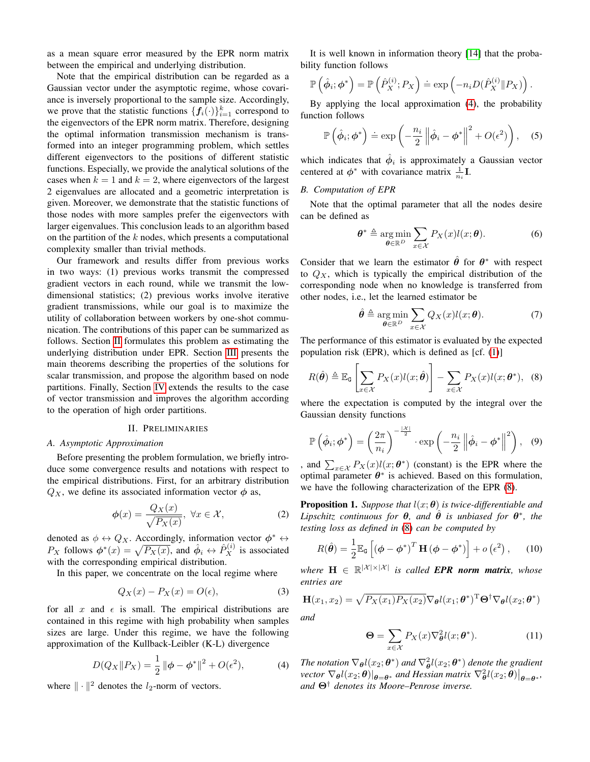as a mean square error measured by the EPR norm matrix between the empirical and underlying distribution.

Note that the empirical distribution can be regarded as a Gaussian vector under the asymptotic regime, whose covariance is inversely proportional to the sample size. Accordingly, we prove that the statistic functions  $\{f_i(\cdot)\}_{i=1}^k$  correspond to the eigenvectors of the EPR norm matrix. Therefore, designing the optimal information transmission mechanism is transformed into an integer programming problem, which settles different eigenvectors to the positions of different statistic functions. Especially, we provide the analytical solutions of the cases when  $k = 1$  and  $k = 2$ , where eigenvectors of the largest 2 eigenvalues are allocated and a geometric interpretation is given. Moreover, we demonstrate that the statistic functions of those nodes with more samples prefer the eigenvectors with larger eigenvalues. This conclusion leads to an algorithm based on the partition of the  $k$  nodes, which presents a computational complexity smaller than trivial methods.

Our framework and results differ from previous works in two ways: (1) previous works transmit the compressed gradient vectors in each round, while we transmit the lowdimensional statistics; (2) previous works involve iterative gradient transmissions, while our goal is to maximize the utility of collaboration between workers by one-shot communication. The contributions of this paper can be summarized as follows. Section [II](#page-1-0) formulates this problem as estimating the underlying distribution under EPR. Section [III](#page-2-0) presents the main theorems describing the properties of the solutions for scalar transmission, and propose the algorithm based on node partitions. Finally, Section [IV](#page-4-0) extends the results to the case of vector transmission and improves the algorithm according to the operation of high order partitions.

## II. PRELIMINARIES

## <span id="page-1-0"></span>*A. Asymptotic Approximation*

Before presenting the problem formulation, we briefly introduce some convergence results and notations with respect to the empirical distributions. First, for an arbitrary distribution  $Q_X$ , we define its associated information vector  $\phi$  as,

$$
\phi(x) = \frac{Q_X(x)}{\sqrt{P_X(x)}}, \ \forall x \in \mathcal{X}, \tag{2}
$$

denoted as  $\phi \leftrightarrow Q_X$ . Accordingly, information vector  $\phi^* \leftrightarrow$  $P_X$  follows  $\phi^*(x) = \sqrt{P_X(x)}$ , and  $\hat{\phi}_i \leftrightarrow \hat{P}_X^{(i)}$  is associated with the corresponding empirical distribution.

In this paper, we concentrate on the local regime where

$$
Q_X(x) - P_X(x) = O(\epsilon),\tag{3}
$$

for all x and  $\epsilon$  is small. The empirical distributions are contained in this regime with high probability when samples sizes are large. Under this regime, we have the following approximation of the Kullback-Leibler (K-L) divergence

$$
D(Q_X \| P_X) = \frac{1}{2} \| \phi - \phi^* \|^2 + O(\epsilon^2), \tag{4}
$$

where  $\|\cdot\|^2$  denotes the  $l_2$ -norm of vectors.

It is well known in information theory [\[14\]](#page-6-7) that the probability function follows

$$
\mathbb{P}\left(\hat{\phi}_i; \phi^*\right) = \mathbb{P}\left(\hat{P}_X^{(i)}; P_X\right) \doteq \exp\left(-n_i D(\hat{P}_X^{(i)} \| P_X)\right).
$$

By applying the local approximation [\(4\)](#page-1-1), the probability function follows

$$
\mathbb{P}\left(\hat{\phi}_i; \phi^*\right) \doteq \exp\left(-\frac{n_i}{2} \left\|\hat{\phi}_i - \phi^*\right\|^2 + O(\epsilon^2)\right), \quad (5)
$$

which indicates that  $\hat{\phi}_i$  is approximately a Gaussian vector centered at  $\phi^*$  with covariance matrix  $\frac{1}{n_i}$ **I**.

## *B. Computation of EPR*

Note that the optimal parameter that all the nodes desire can be defined as

<span id="page-1-6"></span>
$$
\boldsymbol{\theta}^* \triangleq \underset{\boldsymbol{\theta} \in \mathbb{R}^D}{\arg \min} \sum_{x \in \mathcal{X}} P_X(x) l(x; \boldsymbol{\theta}). \tag{6}
$$

Consider that we learn the estimator  $\hat{\theta}$  for  $\theta^*$  with respect to  $Q_X$ , which is typically the empirical distribution of the corresponding node when no knowledge is transferred from other nodes, i.e., let the learned estimator be

<span id="page-1-4"></span><span id="page-1-2"></span>
$$
\hat{\boldsymbol{\theta}} \triangleq \underset{\boldsymbol{\theta} \in \mathbb{R}^D}{\arg \min} \sum_{x \in \mathcal{X}} Q_X(x) l(x; \boldsymbol{\theta}). \tag{7}
$$

The performance of this estimator is evaluated by the expected population risk (EPR), which is defined as [cf. [\(1\)](#page-0-1)]

$$
R(\hat{\theta}) \triangleq \mathbb{E}_{\mathsf{G}}\left[\sum_{x \in \mathcal{X}} P_X(x)l(x;\hat{\theta})\right] - \sum_{x \in \mathcal{X}} P_X(x)l(x;\theta^*), \quad (8)
$$

where the expectation is computed by the integral over the Gaussian density functions

$$
\mathbb{P}\left(\hat{\phi}_i; \phi^*\right) = \left(\frac{2\pi}{n_i}\right)^{-\frac{|\mathcal{X}|}{2}} \cdot \exp\left(-\frac{n_i}{2} \left\|\hat{\phi}_i - \phi^*\right\|^2\right), \quad (9)
$$

, and  $\sum_{x \in \mathcal{X}} P_X(x) l(x; \theta^*)$  (constant) is the EPR where the optimal parameter  $\theta^*$  is achieved. Based on this formulation, we have the following characterization of the EPR [\(8\)](#page-1-2).

<span id="page-1-5"></span>**Proposition 1.** *Suppose that*  $l(x; \theta)$  *is twice-differentiable and Lipschitz continuous for*  $\theta$ , and  $\hat{\theta}$  *is unbiased for*  $\theta^*$ , the *testing loss as defined in* [\(8\)](#page-1-2) *can be computed by*

$$
R(\hat{\boldsymbol{\theta}}) = \frac{1}{2} \mathbb{E}_{\mathsf{G}} \left[ \left( \boldsymbol{\phi} - \boldsymbol{\phi}^* \right)^T \mathbf{H} \left( \boldsymbol{\phi} - \boldsymbol{\phi}^* \right) \right] + o \left( \epsilon^2 \right), \qquad (10)
$$

 $where \mathbf{H} \in \mathbb{R}^{|\mathcal{X}| \times |\mathcal{X}|}$  *is called EPR norm matrix, whose entries are*

$$
\mathbf{H}(x_1, x_2) = \sqrt{P_X(x_1)P_X(x_2)}\nabla_{\boldsymbol{\theta}}l(x_1; \boldsymbol{\theta}^*)^{\mathrm{T}}\boldsymbol{\Theta}^{\dagger}\nabla_{\boldsymbol{\theta}}l(x_2; \boldsymbol{\theta}^*)
$$

*and*

<span id="page-1-3"></span>
$$
\mathbf{\Theta} = \sum_{x \in \mathcal{X}} P_X(x) \nabla_{\boldsymbol{\theta}}^2 l(x; \boldsymbol{\theta}^*).
$$
 (11)

<span id="page-1-1"></span>*The notation*  $\nabla_{\theta} l(x_2; \theta^*)$  *and*  $\nabla_{\theta}^2 l(x_2; \theta^*)$  *denote the gradient*  $\text{vector } \nabla_{\theta} l(x_2; \theta)|_{\theta = \theta^*}$  and Hessian matrix  $\nabla_{\theta}^2 l(x_2; \theta)|_{\theta = \theta^*}$ *and* Θ† *denotes its Moore–Penrose inverse.*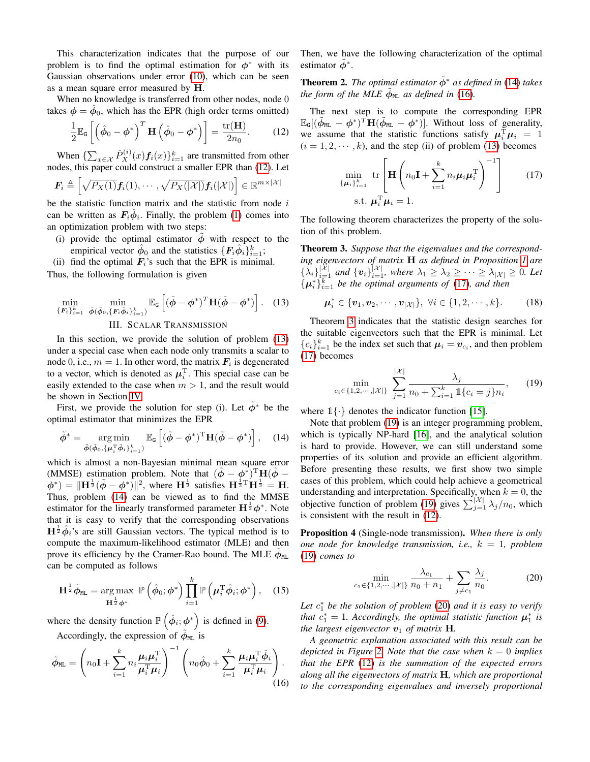This characterization indicates that the purpose of our problem is to find the optimal estimation for  $\phi^*$  with its Gaussian observations under error [\(10\)](#page-1-3), which can be seen as a mean square error measured by H.

When no knowledge is transferred from other nodes, node 0 takes  $\phi = \hat{\phi}_0$ , which has the EPR (high order terms omitted)

$$
\frac{1}{2}\mathbb{E}_{\mathsf{G}}\left[\left(\hat{\phi}_0 - \phi^*\right)^T \mathbf{H}\left(\hat{\phi}_0 - \phi^*\right)\right] = \frac{\text{tr}(\mathbf{H})}{2n_0}.\tag{12}
$$

When  $\{\sum_{x \in \mathcal{X}} \hat{P}_X^{(i)}(x) \mathbf{f}_i(x)\}_{i=1}^k$  are transmitted from other nodes, this paper could construct a smaller EPR than [\(12\)](#page-2-1). Let

$$
\boldsymbol{F}_i \triangleq \left[ \sqrt{P_X(1)} \boldsymbol{f}_i(1), \cdots, \sqrt{P_X(|\mathcal{X}|)} \boldsymbol{f}_i(|\mathcal{X}|) \right] \in \mathbb{R}^{m \times |\mathcal{X}|}
$$

be the statistic function matrix and the statistic from node  $i$ can be written as  $F_i \hat{\phi}_i$ . Finally, the problem [\(1\)](#page-0-1) comes into an optimization problem with two steps:

- (i) provide the optimal estimator  $\phi$  with respect to the empirical vector  $\hat{\phi}_0$  and the statistics  $\{F_i \hat{\phi}_i\}_{i=1}^k$ ;
- (ii) find the optimal  $F_i$ 's such that the EPR is minimal. Thus, the following formulation is given

$$
\min_{\{\boldsymbol{F}_i\}_{i=1}^k} \ \min_{\tilde{\boldsymbol{\phi}}(\hat{\boldsymbol{\phi}}_0, \{\boldsymbol{F}_i\hat{\boldsymbol{\phi}}_i\}_{i=1}^k)} \mathbb{E}_{\mathsf{G}}\left[ (\tilde{\boldsymbol{\phi}} - \boldsymbol{\phi}^*)^T \mathbf{H} (\tilde{\boldsymbol{\phi}} - \boldsymbol{\phi}^*) \right]. \tag{13}
$$

## III. SCALAR TRANSMISSION

<span id="page-2-0"></span>In this section, we provide the solution of problem [\(13\)](#page-2-2) under a special case when each node only transmits a scalar to node 0, i.e.,  $m = 1$ . In other word, the matrix  $\mathbf{F}_i$  is degenerated to a vector, which is denoted as  $\mu_i^{\mathrm{T}}$ . This special case can be easily extended to the case when  $m > 1$ , and the result would be shown in Section [IV.](#page-4-0)

First, we provide the solution for step (i). Let  $\tilde{\phi}^*$  be the optimal estimator that minimizes the EPR

$$
\tilde{\phi}^* = \underset{\tilde{\phi}(\hat{\phi}_0, \{\boldsymbol{\mu}_i^{\mathrm{T}}\hat{\phi}_i\}_{i=1}^k)}{\arg \min} \mathbb{E}_{\mathsf{G}}\left[ (\tilde{\phi} - \phi^*)^{\mathrm{T}} \mathbf{H} (\tilde{\phi} - \phi^*) \right], \quad (14)
$$

which is almost a non-Bayesian minimal mean square error (MMSE) estimation problem. Note that  $(\tilde{\phi} - \phi^*)^T H (\tilde{\phi} \phi^*$  =  $\|\mathbf{H}^{\frac{1}{2}}(\tilde{\phi} - \phi^*)\|^2$ , where  $\mathbf{H}^{\frac{1}{2}}$  satisfies  $\mathbf{H}^{\frac{1}{2}T}\mathbf{H}^{\frac{1}{2}} = \mathbf{H}$ . Thus, problem [\(14\)](#page-2-3) can be viewed as to find the MMSE estimator for the linearly transformed parameter  $H^{\frac{1}{2}}\phi^*$ . Note that it is easy to verify that the corresponding observations  $H^{\frac{1}{2}}\hat{\phi}_i$ 's are still Gaussian vectors. The typical method is to compute the maximum-likelihood estimator (MLE) and then prove its efficiency by the Cramer-Rao bound. The MLE  $\tilde{\phi}_{ML}$ can be computed as follows

$$
\mathbf{H}^{\frac{1}{2}}\tilde{\phi}_{\mathtt{ML}} = \underset{\mathbf{H}^{\frac{1}{2}}\boldsymbol{\phi}^*}{\arg\max} \ \mathbb{P}\left(\hat{\phi}_0; \boldsymbol{\phi}^*\right) \prod_{i=1}^k \mathbb{P}\left(\boldsymbol{\mu}_i^{\mathrm{T}}\hat{\phi}_i; \boldsymbol{\phi}^*\right), \quad (15)
$$

where the density function  $\mathbb{P}(\hat{\phi}_i; \phi^*)$  is defined in [\(9\)](#page-1-4). Accordingly, the expression of  $\tilde{\phi}_{ML}$  is

$$
\tilde{\phi}_{\texttt{ML}} = \left( n_0 \mathbf{I} + \sum_{i=1}^k n_i \frac{\boldsymbol{\mu}_i \boldsymbol{\mu}_i^{\text{T}}}{\boldsymbol{\mu}_i^{\text{T}} \boldsymbol{\mu}_i} \right)^{-1} \left( n_0 \hat{\phi}_0 + \sum_{i=1}^k \frac{\boldsymbol{\mu}_i \boldsymbol{\mu}_i^{\text{T}} \hat{\phi}_i}{\boldsymbol{\mu}_i^{\text{T}} \boldsymbol{\mu}_i} \right). \tag{16}
$$

Then, we have the following characterization of the optimal estimator  $\tilde{\phi}^*$ .

<span id="page-2-10"></span>**Theorem 2.** *The optimal estimator*  $\phi^*$  *as defined in* [\(14\)](#page-2-3) *takes the form of the MLE*  $\tilde{\phi}_{ML}$  *as defined in* [\(16\)](#page-2-4).

<span id="page-2-1"></span>The next step is to compute the corresponding EPR  $\mathbb{E}_{\mathsf{G}}[(\tilde{\phi}_{\texttt{ML}} - \phi^*)^T \mathbf{H}(\tilde{\phi}_{\texttt{ML}} - \phi^*)]$ . Without loss of generality, we assume that the statistic functions satisfy  $\mu_i^{\mathrm{T}} \mu_i = 1$  $(i = 1, 2, \dots, k)$ , and the step (ii) of problem [\(13\)](#page-2-2) becomes

<span id="page-2-5"></span>
$$
\min_{\{\boldsymbol{\mu}_i\}_{i=1}^k} \text{tr}\left[\mathbf{H}\left(n_0\mathbf{I} + \sum_{i=1}^k n_i \boldsymbol{\mu}_i \boldsymbol{\mu}_i^{\mathrm{T}}\right)^{-1}\right] \qquad (17)
$$
\n
$$
\text{s.t. } \boldsymbol{\mu}_i^{\mathrm{T}} \boldsymbol{\mu}_i = 1.
$$

The following theorem characterizes the property of the solution of this problem.

<span id="page-2-6"></span>Theorem 3. *Suppose that the eigenvalues and the corresponding eigenvectors of matrix* H *as defined in Proposition [1](#page-1-5) are*  $\{\lambda_i\}_{i=1}^{|\mathcal{X}|}$  and  $\{v_i\}_{i=1}^{|\mathcal{X}|}$ , where  $\lambda_1 \geq \lambda_2 \geq \cdots \geq \lambda_{|\mathcal{X}|} \geq 0$ . Let  ${u_i^*}_{i=1}^k$  *be the optimal arguments of* [\(17\)](#page-2-5)*, and then* 

$$
\mu_i^* \in \{v_1, v_2, \cdots, v_{|\mathcal{X}|}\}, \ \forall i \in \{1, 2, \cdots, k\}.
$$
 (18)

<span id="page-2-2"></span>Theorem [3](#page-2-6) indicates that the statistic design searches for the suitable eigenvectors such that the EPR is minimal. Let  ${c_i}_{i=1}^k$  be the index set such that  $\mu_i = v_{c_i}$ , and then problem [\(17\)](#page-2-5) becomes

<span id="page-2-7"></span>
$$
\min_{c_i \in \{1, 2, \cdots, |\mathcal{X}|\}} \sum_{j=1}^{|\mathcal{X}|} \frac{\lambda_j}{n_0 + \sum_{i=1}^k \mathbb{1}\{c_i = j\}n_i},\qquad(19)
$$

where  $1\{\cdot\}$  denotes the indicator function [\[15\]](#page-6-8).

<span id="page-2-3"></span>Note that problem [\(19\)](#page-2-7) is an integer programming problem, which is typically NP-hard [\[16\]](#page-6-9), and the analytical solution is hard to provide. However, we can still understand some properties of its solution and provide an efficient algorithm. Before presenting these results, we first show two simple cases of this problem, which could help achieve a geometrical understanding and interpretation. Specifically, when  $k = 0$ , the objective function of problem [\(19\)](#page-2-7) gives  $\sum_{j=1}^{\lvert \mathcal{X} \rvert} \lambda_j / n_0$ , which is consistent with the result in [\(12\)](#page-2-1).

<span id="page-2-9"></span>Proposition 4 (Single-node transmission). *When there is only one node for knowledge transmission, i.e.,*  $k = 1$ *, problem* [\(19\)](#page-2-7) *comes to*

<span id="page-2-8"></span>
$$
\min_{c_1 \in \{1, 2, \cdots, |\mathcal{X}|\}} \frac{\lambda_{c_1}}{n_0 + n_1} + \sum_{j \neq c_1} \frac{\lambda_j}{n_0}.
$$
 (20)

Let  $c_1^*$  be the solution of problem [\(20\)](#page-2-8) and it is easy to verify *that*  $c_1^* = 1$ *. Accordingly, the optimal statistic function*  $\mu_1^*$  *is the largest eigenvector*  $v_1$  *of matrix* **H**.

<span id="page-2-4"></span>*A geometric explanation associated with this result can be depicted in Figure* [2.](#page-3-0) *Note that the case when*  $k = 0$  *implies that the EPR* [\(12\)](#page-2-1) *is the summation of the expected errors along all the eigenvectors of matrix* H*, which are proportional to the corresponding eigenvalues and inversely proportional*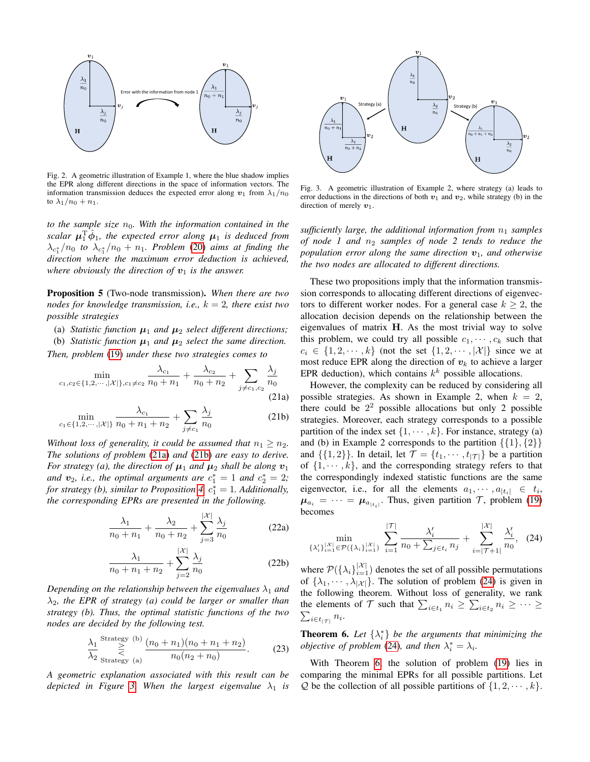

<span id="page-3-0"></span>Fig. 2. A geometric illustration of Example 1, where the blue shadow implies the EPR along different directions in the space of information vectors. The information transmission deduces the expected error along  $v_1$  from  $\lambda_1/n_0$ to  $\lambda_1/n_0 + n_1$ .

*to the sample size*  $n_0$ *. With the information contained in the*  $\int \int \hat{\mu}_1 \hat{\phi}_1$ , the expected error along  $\mu_1$  is deduced from  $\lambda_{c_1^*}/n_0$  to  $\lambda_{c_1^*}/n_0 + n_1$ . Problem [\(20\)](#page-2-8) aims at finding the *direction where the maximum error deduction is achieved, where obviously the direction of*  $v_1$  *is the answer.* 

Proposition 5 (Two-node transmission). *When there are two nodes for knowledge transmission, i.e.,* k = 2*, there exist two possible strategies*

- (a) *Statistic function*  $\mu_1$  *and*  $\mu_2$  *select different directions;*
- (b) *Statistic function*  $\mu_1$  *and*  $\mu_2$  *select the same direction.*

*Then, problem* [\(19\)](#page-2-7) *under these two strategies comes to*

$$
\min_{c_1, c_2 \in \{1, 2, \cdots, |\mathcal{X}|\}, c_1 \neq c_2} \frac{\lambda_{c_1}}{n_0 + n_1} + \frac{\lambda_{c_2}}{n_0 + n_2} + \sum_{j \neq c_1, c_2} \frac{\lambda_j}{n_0}
$$
\n(21a)

$$
\min_{c_1 \in \{1, 2, \cdots, |\mathcal{X}|\}} \frac{\lambda_{c_1}}{n_0 + n_1 + n_2} + \sum_{j \neq c_1} \frac{\lambda_j}{n_0}
$$
(21b)

*Without loss of generality, it could be assumed that*  $n_1 \geq n_2$ *. The solutions of problem* [\(21a\)](#page-3-1) *and* [\(21b\)](#page-3-2) *are easy to derive. For strategy (a), the direction of*  $\mu_1$  *and*  $\mu_2$  *shall be along*  $v_1$ and  $v_2$ , *i.e.*, the optimal arguments are  $c_1^* = 1$  and  $c_2^* = 2$ ; *for strategy (b), similar to Proposition [4,](#page-2-9)*  $c_1^* = 1$ *. Additionally, the corresponding EPRs are presented in the following.*

$$
\frac{\lambda_1}{n_0 + n_1} + \frac{\lambda_2}{n_0 + n_2} + \sum_{j=3}^{|\mathcal{X}|} \frac{\lambda_j}{n_0}
$$
 (22a)

$$
\frac{\lambda_1}{n_0 + n_1 + n_2} + \sum_{j=2}^{|\mathcal{X}|} \frac{\lambda_j}{n_0}
$$
 (22b)

*Depending on the relationship between the eigenvalues*  $\lambda_1$  *and* λ2*, the EPR of strategy (a) could be larger or smaller than strategy (b). Thus, the optimal statistic functions of the two nodes are decided by the following test.*

$$
\frac{\lambda_1}{\lambda_2} \sum_{\text{Strategy (a)}}^{\text{Strategy (b)}} \frac{(n_0 + n_1)(n_0 + n_1 + n_2)}{n_0(n_2 + n_0)}.
$$
 (23)

*A geometric explanation associated with this result can be depicted in Figure* [3.](#page-3-3) When the largest eigenvalue  $\lambda_1$  is



<span id="page-3-3"></span>Fig. 3. A geometric illustration of Example 2, where strategy (a) leads to error deductions in the directions of both  $v_1$  and  $v_2$ , while strategy (b) in the direction of merely  $v_1$ .

*sufficiently large, the additional information from*  $n_1$  *samples of node 1 and n<sub>2</sub> samples of node 2 tends to reduce the population error along the same direction*  $v_1$ *, and otherwise the two nodes are allocated to different directions.*

These two propositions imply that the information transmission corresponds to allocating different directions of eigenvectors to different worker nodes. For a general case  $k \geq 2$ , the allocation decision depends on the relationship between the eigenvalues of matrix  $H$ . As the most trivial way to solve this problem, we could try all possible  $c_1, \dots, c_k$  such that  $c_i \in \{1, 2, \dots, k\}$  (not the set  $\{1, 2, \dots, |\mathcal{X}|\}$  since we at most reduce EPR along the direction of  $v_k$  to achieve a larger EPR deduction), which contains  $k^k$  possible allocations.

<span id="page-3-2"></span><span id="page-3-1"></span>However, the complexity can be reduced by considering all possible strategies. As shown in Example 2, when  $k = 2$ , there could be  $2<sup>2</sup>$  possible allocations but only 2 possible strategies. Moreover, each strategy corresponds to a possible partition of the index set  $\{1, \dots, k\}$ . For instance, strategy (a) and (b) in Example 2 corresponds to the partition  $\{\{1\},\{2\}\}\$ and  $\{\{1,2\}\}\$ . In detail, let  $\mathcal{T} = \{t_1, \dots, t_{|\mathcal{T}|}\}\$  be a partition of  $\{1, \dots, k\}$ , and the corresponding strategy refers to that the correspondingly indexed statistic functions are the same eigenvector, i.e., for all the elements  $a_1, \dots, a_{|t_i|} \in t_i$ ,  $\mu_{a_i} = \cdots = \mu_{a_{|t_i|}}$ . Thus, given partition  $\mathcal{T}$ , problem [\(19\)](#page-2-7) becomes

<span id="page-3-4"></span>
$$
\min_{\{\lambda_i'\}_{i=1}^{|X|} \in \mathcal{P}(\{\lambda_i\}_{i=1}^{|X|})} \sum_{i=1}^{|T|} \frac{\lambda_i'}{n_0 + \sum_{j \in t_i} n_j} + \sum_{i=|T+1|}^{|X|} \frac{\lambda_i'}{n_0}, \quad (24)
$$

where  $\mathcal{P}(\{\lambda_i\}_{i=1}^{|\mathcal{X}|})$  denotes the set of all possible permutations of  $\{\lambda_1, \dots, \lambda_{|\mathcal{X}|}\}.$  The solution of problem [\(24\)](#page-3-4) is given in the following theorem. Without loss of generality, we rank the elements of  $\mathcal T$  such that  $\sum_{i \in t_1} n_i \geq \sum_{i \in t_2} n_i \geq \cdots \geq \sum_{i \in t_{i-1}} n_i$ .  $_{i\in t_{|\mathcal{T}|}} n_i$ .

<span id="page-3-5"></span>**Theorem 6.** Let  $\{\lambda_i^*\}$  be the arguments that minimizing the *objective of problem* [\(24\)](#page-3-4), and then  $\lambda_i^* = \lambda_i$ .

With Theorem [6,](#page-3-5) the solution of problem [\(19\)](#page-2-7) lies in comparing the minimal EPRs for all possible partitions. Let  $Q$  be the collection of all possible partitions of  $\{1, 2, \dots, k\}.$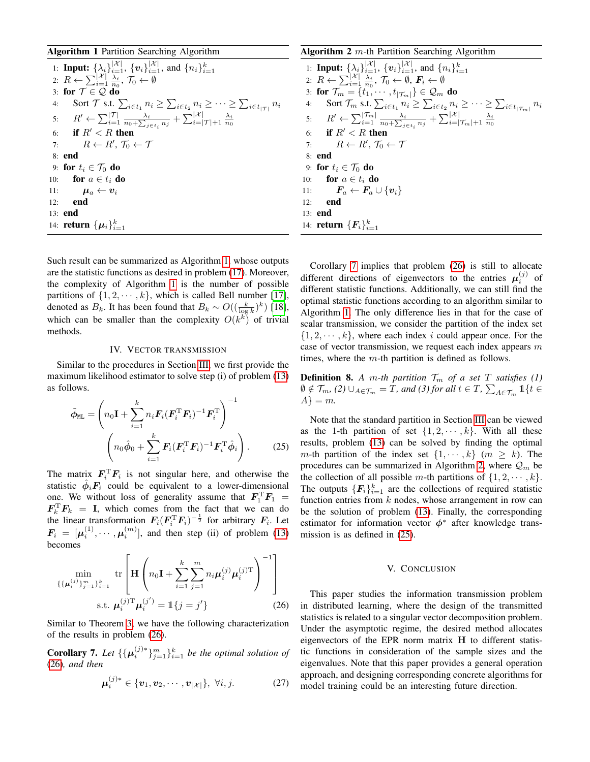Algorithm 1 Partition Searching Algorithm

1: **Input:** 
$$
\{\lambda_i\}_{i=1}^{|\mathcal{X}|}
$$
,  $\{v_i\}_{i=1}^{|\mathcal{X}|}$ , and  $\{n_i\}_{i=1}^k$ \n2:  $R \leftarrow \sum_{i=1}^{|\mathcal{X}|} \frac{\lambda_i}{n_0}, \mathcal{T}_0 \leftarrow \emptyset$ \n3: **for**  $\mathcal{T} \in \mathcal{Q}$  **do**\n4: **Sort**  $\mathcal{T}$  **s.t.**  $\sum_{i \in t_1} n_i \geq \sum_{i \in t_2} n_i \geq \cdots \geq \sum_{i \in t_{|\mathcal{T}|}} n_i$ \n5:  $R' \leftarrow \sum_{i=1}^{|\mathcal{T}|} \frac{\lambda_i}{n_0 + \sum_{j \in t_i} n_j} + \sum_{i=|\mathcal{T}|+1}^{|\mathcal{X}|} \frac{\lambda_i}{n_0}$ \n6: **if**  $R' < R$  **then**\n7:  $R \leftarrow R', \mathcal{T}_0 \leftarrow \mathcal{T}$ \n8: **end**\n9: **for**  $t_i \in \mathcal{T}_0$  **do**\n10: **for**  $a \in t_i$  **do**\n11:  $\mu_a \leftarrow v_i$ \n12: **end**\n13: **end**\n14: **return**  $\{\mu_i\}_{i=1}^k$ 

<span id="page-4-1"></span>Such result can be summarized as Algorithm [1,](#page-4-1) whose outputs are the statistic functions as desired in problem [\(17\)](#page-2-5). Moreover, the complexity of Algorithm [1](#page-4-1) is the number of possible partitions of  $\{1, 2, \dots, k\}$ , which is called Bell number [\[17\]](#page-6-10), denoted as  $B_k$ . It has been found that  $B_k \sim O((\frac{k}{\log k})^k)$  [\[18\]](#page-6-11), which can be smaller than the complexity  $O(k^k)$  of trivial methods.

#### IV. VECTOR TRANSMISSION

<span id="page-4-0"></span>Similar to the procedures in Section [III,](#page-2-0) we first provide the maximum likelihood estimator to solve step (i) of problem [\(13\)](#page-2-2) as follows.

$$
\tilde{\phi}_{ML} = \left( n_0 \mathbf{I} + \sum_{i=1}^{k} n_i \mathbf{F}_i (\mathbf{F}_i^{\mathrm{T}} \mathbf{F}_i)^{-1} \mathbf{F}_i^{\mathrm{T}} \right)^{-1}
$$
\n
$$
\left( n_0 \hat{\phi}_0 + \sum_{i=1}^{k} \mathbf{F}_i (\mathbf{F}_i^{\mathrm{T}} \mathbf{F}_i)^{-1} \mathbf{F}_i^{\mathrm{T}} \hat{\phi}_i \right). \tag{25}
$$

The matrix  $\mathbf{F}_i^{\mathrm{T}} \mathbf{F}_i$  is not singular here, and otherwise the statistic  $\hat{\phi}_i \mathbf{F}_i$  could be equivalent to a lower-dimensional one. We without loss of generality assume that  $\mathbf{F}_1^{\mathrm{T}} \mathbf{F}_1 =$  $\mathbf{F}_k^{\mathrm{T}} \mathbf{F}_k = \mathbf{I}$ , which comes from the fact that we can do the linear transformation  $F_i (F_i^{\mathrm{T}} F_i)^{-\frac{1}{2}}$  for arbitrary  $F_i$ . Let  $\mathbf{F}_i = [\mu_i^{(1)}, \cdots, \mu_i^{(m)}]$ , and then step (ii) of problem [\(13\)](#page-2-2) becomes

$$
\min_{\{\{\boldsymbol{\mu}_{i}^{(j)}\}_{j=1}^{m}\}_{i=1}^{k}} \text{tr}\left[\mathbf{H}\left(n_{0}\mathbf{I}+\sum_{i=1}^{k}\sum_{j=1}^{m}n_{i}\boldsymbol{\mu}_{i}^{(j)}\boldsymbol{\mu}_{i}^{(j)\mathrm{T}}\right)^{-1}\right]
$$
\n
$$
\text{s.t. } \boldsymbol{\mu}_{i}^{(j)\mathrm{T}}\boldsymbol{\mu}_{i}^{(j')} = \mathbb{1}\{j=j'\}
$$
\n(26)

Similar to Theorem [3,](#page-2-6) we have the following characterization of the results in problem [\(26\)](#page-4-2).

<span id="page-4-3"></span>**Corollary 7.** Let  $\{\{\boldsymbol{\mu}_i^{(j)*}\}_{j=1}^m\}_{i=1}^k$  be the optimal solution of [\(26\)](#page-4-2)*, and then*

$$
\boldsymbol{\mu}_{i}^{(j)*} \in \{\boldsymbol{v}_{1}, \boldsymbol{v}_{2}, \cdots, \boldsymbol{v}_{|\mathcal{X}|}\}, \ \forall i, j.
$$
 (27)

# **Algorithm 2**  $m$ -th Partition Searching Algorithm

1: **Input:**  $\{\lambda_i\}_{i=1}^{|\mathcal{X}|}, \{v_i\}_{i=1}^{|\mathcal{X}|}, \text{ and } \{n_i\}_{i=1}^k$ <br>2:  $R \leftarrow \sum_{i=1}^{|\mathcal{X}|} \frac{\lambda_i}{n_0}, \mathcal{T}_0 \leftarrow \emptyset, \mathbf{F}_i \leftarrow \emptyset$ 3: for  $\mathcal{T}_m = \{t_1, \cdots, t_{|\mathcal{T}_m|}\} \in \mathcal{Q}_m$  do 4: Sort  $\mathcal{T}_m$  s.t.  $\sum_{i \in t_1} n_i \geq \sum_{i \in t_2} n_i \geq \cdots \geq \sum_{i \in t_{|\mathcal{T}_m|}} n_i$ 5:  $R' \leftarrow \sum_{i=1}^{|\mathcal{T}_m|} \frac{\lambda_i}{n_0 + \sum_{j \in t_i} n_j} + \sum_{i=|\mathcal{T}_m|+1}^{|\mathcal{X}|} \frac{\lambda_i}{n_0}$ <br>6: **if**  $R' < R$  **then** 7:  $R \leftarrow R', \mathcal{T}_0 \leftarrow \mathcal{T}$ 8: end 9: for  $t_i \in \mathcal{T}_0$  do 10: **for**  $a \in t_i$  **do** 11:  $\bm{F}_a \leftarrow \bm{F}_a \cup \{\bm{v}_i\}$ 12: end 13: end 14: **return**  $\{F_i\}_{i=1}^k$ 

<span id="page-4-4"></span>Corollary [7](#page-4-3) implies that problem [\(26\)](#page-4-2) is still to allocate different directions of eigenvectors to the entries  $\mu_i^{(j)}$  of different statistic functions. Additionally, we can still find the optimal statistic functions according to an algorithm similar to Algorithm [1.](#page-4-1) The only difference lies in that for the case of scalar transmission, we consider the partition of the index set  $\{1, 2, \dots, k\}$ , where each index i could appear once. For the case of vector transmission, we request each index appears m times, where the  $m$ -th partition is defined as follows.

**Definition 8.** *A m-th partition*  $\mathcal{T}_m$  *of a set*  $T$  *satisfies* (1)  $\emptyset \notin \mathcal{T}_m$ , (2)  $\cup_{A \in \mathcal{T}_m} = \tilde{T}$ *, and (3) for all*  $t \in T$ *,*  $\sum_{A \in \mathcal{T}_m} 1\{t \in$  $A\} = m$ .

<span id="page-4-5"></span>Note that the standard partition in Section [III](#page-2-0) can be viewed as the 1-th partition of set  $\{1, 2, \dots, k\}$ . With all these results, problem [\(13\)](#page-2-2) can be solved by finding the optimal m-th partition of the index set  $\{1, \dots, k\}$  ( $m \geq k$ ). The procedures can be summarized in Algorithm [2,](#page-4-4) where  $\mathcal{Q}_m$  be the collection of all possible m-th partitions of  $\{1, 2, \dots, k\}$ . The outputs  $\{F_i\}_{i=1}^k$  are the collections of required statistic function entries from  $k$  nodes, whose arrangement in row can be the solution of problem [\(13\)](#page-2-2). Finally, the corresponding estimator for information vector  $\phi^*$  after knowledge transmission is as defined in [\(25\)](#page-4-5).

#### V. CONCLUSION

<span id="page-4-2"></span>This paper studies the information transmission problem in distributed learning, where the design of the transmitted statistics is related to a singular vector decomposition problem. Under the asymptotic regime, the desired method allocates eigenvectors of the EPR norm matrix H to different statistic functions in consideration of the sample sizes and the eigenvalues. Note that this paper provides a general operation approach, and designing corresponding concrete algorithms for model training could be an interesting future direction.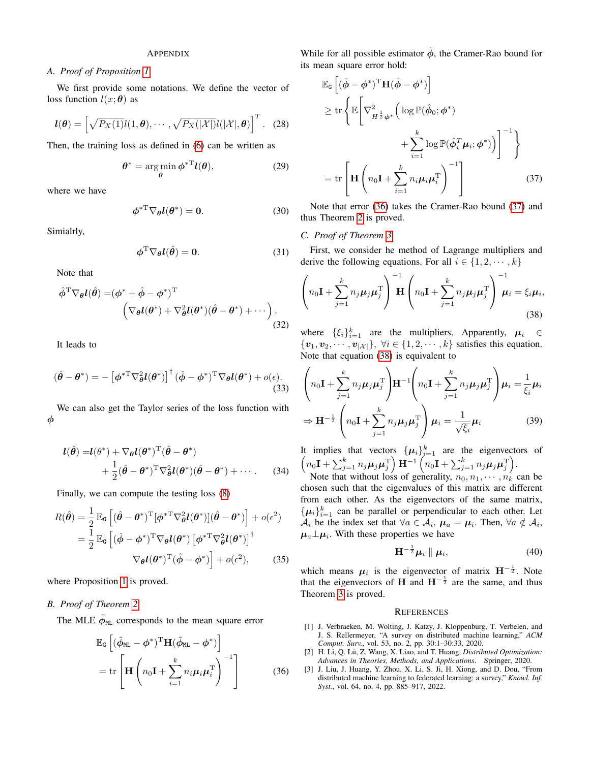# APPENDIX

## *A. Proof of Proposition [1](#page-1-5)*

We first provide some notations. We define the vector of loss function  $l(x; \theta)$  as

$$
\boldsymbol{l}(\boldsymbol{\theta}) = \left[ \sqrt{P_X(1)} \boldsymbol{l}(1, \boldsymbol{\theta}), \cdots, \sqrt{P_X(|\mathcal{X}|)} \boldsymbol{l}(|\mathcal{X}|, \boldsymbol{\theta}) \right]^T. (28)
$$

Then, the training loss as defined in [\(6\)](#page-1-6) can be written as

$$
\boldsymbol{\theta}^* = \underset{\boldsymbol{\theta}}{\arg\min} \boldsymbol{\phi}^{*T} \boldsymbol{l}(\boldsymbol{\theta}), \qquad (29)
$$

where we have

$$
\phi^{*T} \nabla_{\theta} l(\theta^*) = 0. \tag{30}
$$

Simialrly,

$$
\phi^{\mathrm{T}} \nabla_{\theta} l(\hat{\theta}) = 0. \tag{31}
$$

Note that

$$
\hat{\phi}^{\mathrm{T}} \nabla_{\theta} l(\hat{\theta}) = (\phi^* + \hat{\phi} - \phi^*)^{\mathrm{T}} \n\left( \nabla_{\theta} l(\theta^*) + \nabla_{\theta}^2 l(\theta^*) (\hat{\theta} - \theta^*) + \cdots \right).
$$
\n(32)

It leads to

$$
(\hat{\theta} - \theta^*) = -\left[\phi^{*T} \nabla_{\theta}^2 l(\theta^*)\right]^{\dagger} (\hat{\phi} - \phi^*)^T \nabla_{\theta} l(\theta^*) + o(\epsilon).
$$
\n(33)

We can also get the Taylor series of the loss function with φ

$$
l(\hat{\theta}) = l(\theta^*) + \nabla_{\theta} l(\theta^*)^{\mathrm{T}} (\hat{\theta} - \theta^*)
$$
  
+ 
$$
\frac{1}{2} (\hat{\theta} - \theta^*)^{\mathrm{T}} \nabla_{\theta}^2 l(\theta^*) (\hat{\theta} - \theta^*) + \cdots
$$
 (34)

Finally, we can compute the testing loss [\(8\)](#page-1-2)

$$
R(\hat{\theta}) = \frac{1}{2} \mathbb{E}_{\mathsf{G}} \left[ (\hat{\theta} - \theta^*)^{\mathrm{T}} [\phi^{*\mathrm{T}} \nabla_{\theta}^2 l(\theta^*)] (\hat{\theta} - \theta^*) \right] + o(\epsilon^2)
$$
  
= 
$$
\frac{1}{2} \mathbb{E}_{\mathsf{G}} \left[ (\hat{\phi} - \phi^*)^{\mathrm{T}} \nabla_{\theta} l(\theta^*) \left[ \phi^{*\mathrm{T}} \nabla_{\theta}^2 l(\theta^*) \right]^{\dagger} \right]
$$
  

$$
\nabla_{\theta} l(\theta^*)^{\mathrm{T}} (\hat{\phi} - \phi^*) \right] + o(\epsilon^2), \qquad (35)
$$

where Proposition [1](#page-1-5) is proved.

# *B. Proof of Theorem [2](#page-2-10)*

The MLE  $\tilde{\phi}_{ML}$  corresponds to the mean square error

$$
\mathbb{E}_{\mathsf{G}}\left[ (\tilde{\phi}_{\texttt{ML}} - \phi^*)^{\text{T}} \mathbf{H} (\tilde{\phi}_{\texttt{ML}} - \phi^*) \right] \n= \text{tr}\left[ \mathbf{H} \left( n_0 \mathbf{I} + \sum_{i=1}^k n_i \boldsymbol{\mu}_i \boldsymbol{\mu}_i^{\text{T}} \right)^{-1} \right]
$$
\n(36)

While for all possible estimator  $\ddot{\phi}$ , the Cramer-Rao bound for its mean square error hold:

<span id="page-5-3"></span>
$$
\mathbb{E}_{\mathsf{G}}\left[(\tilde{\phi} - \phi^*)^{\mathrm{T}} \mathbf{H}(\tilde{\phi} - \phi^*)\right] \n\geq \operatorname{tr}\left\{\mathbb{E}\left[\nabla_{H^{\frac{1}{2}}\phi^*}^2\left(\log \mathbb{P}(\hat{\phi}_0; \phi^*)\right) + \sum_{i=1}^k \log \mathbb{P}(\hat{\phi}_i^T \mu_i; \phi^*)\right)\right]^{-1}\right\} \n= \operatorname{tr}\left[\mathbf{H}\left(n_0\mathbf{I} + \sum_{i=1}^k n_i\mu_i\mu_i^{\mathrm{T}}\right)^{-1}\right]
$$
\n(37)

Note that error [\(36\)](#page-5-2) takes the Cramer-Rao bound [\(37\)](#page-5-3) and thus Theorem [2](#page-2-10) is proved.

### *C. Proof of Theorem [3](#page-2-6)*

First, we consider he method of Lagrange multipliers and derive the following equations. For all  $i \in \{1, 2, \dots, k\}$ 

<span id="page-5-4"></span>
$$
\left(n_0\mathbf{I} + \sum_{j=1}^k n_j \boldsymbol{\mu}_j \boldsymbol{\mu}_j^{\mathrm{T}}\right)^{-1} \mathbf{H} \left(n_0\mathbf{I} + \sum_{j=1}^k n_j \boldsymbol{\mu}_j \boldsymbol{\mu}_j^{\mathrm{T}}\right)^{-1} \boldsymbol{\mu}_i = \xi_i \boldsymbol{\mu}_i,
$$
\n(38)

where  $\{\xi_i\}_{i=1}^k$  are the multipliers. Apparently,  $\mu_i \in$  $\{v_1, v_2, \cdots, v_{|\mathcal{X}|}\}, \forall i \in \{1, 2, \cdots, k\}$  satisfies this equation. Note that equation [\(38\)](#page-5-4) is equivalent to

$$
\left(n_0 \mathbf{I} + \sum_{j=1}^k n_j \boldsymbol{\mu}_j \boldsymbol{\mu}_j^{\mathrm{T}}\right) \mathbf{H}^{-1} \left(n_0 \mathbf{I} + \sum_{j=1}^k n_j \boldsymbol{\mu}_j \boldsymbol{\mu}_j^{\mathrm{T}}\right) \boldsymbol{\mu}_i = \frac{1}{\xi_i} \boldsymbol{\mu}_i
$$
  
\n
$$
\Rightarrow \mathbf{H}^{-\frac{1}{2}} \left(n_0 \mathbf{I} + \sum_{j=1}^k n_j \boldsymbol{\mu}_j \boldsymbol{\mu}_j^{\mathrm{T}}\right) \boldsymbol{\mu}_i = \frac{1}{\sqrt{\xi_i}} \boldsymbol{\mu}_i
$$
(39)

It implies that vectors  $\{\mu_i\}_{i=1}^k$  are the eigenvectors of  $\left(n_0\mathbf{I}+\sum_{j=1}^k n_j\boldsymbol{\mu}_j\boldsymbol{\mu}_j^{\mathrm{T}}\right)\mathbf{H}^{-1}\left(n_0\mathbf{I}+\sum_{j=1}^k n_j\boldsymbol{\mu}_j\boldsymbol{\mu}_j^{\mathrm{T}}\right).$ 

Note that without loss of generality,  $n_0, n_1, \dots, n_k$  can be chosen such that the eigenvalues of this matrix are different from each other. As the eigenvectors of the same matrix,  $\{\mu_i\}_{i=1}^k$  can be parallel or perpendicular to each other. Let  $A_i$  be the index set that  $\forall a \in A_i$ ,  $\mu_a = \mu_i$ . Then,  $\forall a \notin A_i$ ,  $\mu_a \perp \mu_i$ . With these properties we have

$$
\mathbf{H}^{-\frac{1}{2}}\boldsymbol{\mu}_i \parallel \boldsymbol{\mu}_i, \tag{40}
$$

which means  $\mu_i$  is the eigenvector of matrix  $H^{-\frac{1}{2}}$ . Note that the eigenvectors of H and  $H^{-\frac{1}{2}}$  are the same, and thus Theorem [3](#page-2-6) is proved.

#### **REFERENCES**

- <span id="page-5-0"></span>[1] J. Verbraeken, M. Wolting, J. Katzy, J. Kloppenburg, T. Verbelen, and J. S. Rellermeyer, "A survey on distributed machine learning," *ACM Comput. Surv.*, vol. 53, no. 2, pp. 30:1–30:33, 2020.
- [2] H. Li, Q. Lü, Z. Wang, X. Liao, and T. Huang, *Distributed Optimization*: *Advances in Theories, Methods, and Applications*. Springer, 2020.
- <span id="page-5-2"></span><span id="page-5-1"></span>[3] J. Liu, J. Huang, Y. Zhou, X. Li, S. Ji, H. Xiong, and D. Dou, "From distributed machine learning to federated learning: a survey," *Knowl. Inf. Syst.*, vol. 64, no. 4, pp. 885–917, 2022.